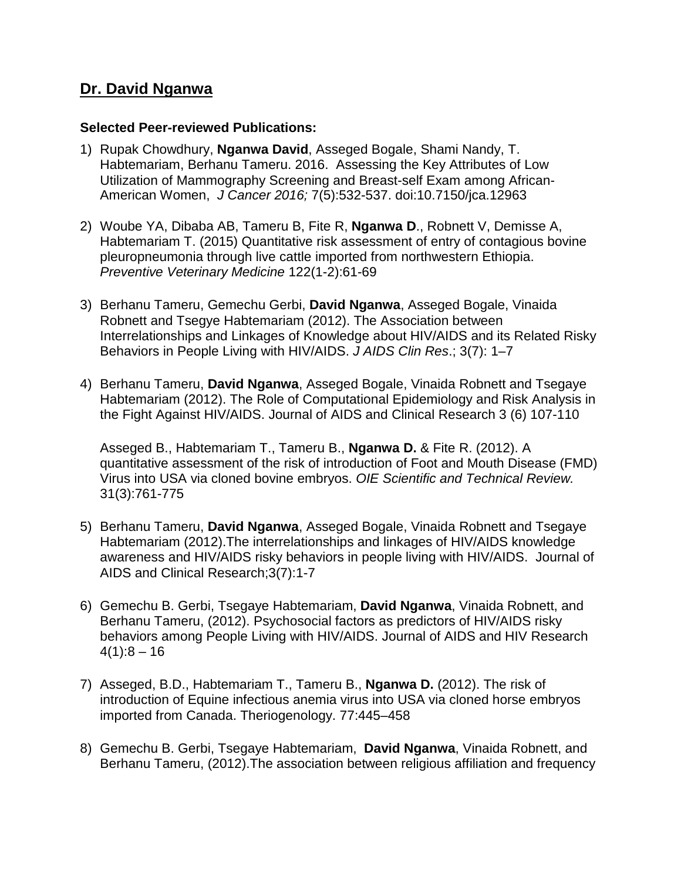## **Dr. David Nganwa**

#### **Selected Peer-reviewed Publications:**

- 1) Rupak Chowdhury, **Nganwa David**, Asseged Bogale, Shami Nandy, T. Habtemariam, Berhanu Tameru. 2016. Assessing the Key Attributes of Low Utilization of Mammography Screening and Breast-self Exam among African-American Women, *J Cancer 2016;* 7(5):532-537. doi:10.7150/jca.12963
- 2) Woube YA, Dibaba AB, Tameru B, Fite R, **Nganwa D**., Robnett V, Demisse A, Habtemariam T. (2015) Quantitative risk assessment of entry of contagious bovine pleuropneumonia through live cattle imported from northwestern Ethiopia. *Preventive Veterinary Medicine* 122(1-2):61-69
- 3) Berhanu Tameru, Gemechu Gerbi, **David Nganwa**, Asseged Bogale, Vinaida Robnett and Tsegye Habtemariam (2012). The Association between Interrelationships and Linkages of Knowledge about HIV/AIDS and its Related Risky Behaviors in People Living with HIV/AIDS. *J AIDS Clin Res*.; 3(7): 1–7
- 4) Berhanu Tameru, **David Nganwa**, Asseged Bogale, Vinaida Robnett and Tsegaye Habtemariam (2012). The Role of Computational Epidemiology and Risk Analysis in the Fight Against HIV/AIDS. Journal of AIDS and Clinical Research 3 (6) 107-110

Asseged B., Habtemariam T., Tameru B., **Nganwa D.** & Fite R. (2012). A quantitative assessment of the risk of introduction of Foot and Mouth Disease (FMD) Virus into USA via cloned bovine embryos. *OIE Scientific and Technical Review.* 31(3):761-775

- 5) Berhanu Tameru, **David Nganwa**, Asseged Bogale, Vinaida Robnett and Tsegaye Habtemariam (2012).The interrelationships and linkages of HIV/AIDS knowledge awareness and HIV/AIDS risky behaviors in people living with HIV/AIDS. Journal of AIDS and Clinical Research;3(7):1-7
- 6) Gemechu B. Gerbi, Tsegaye Habtemariam, **David Nganwa**, Vinaida Robnett, and Berhanu Tameru, (2012). Psychosocial factors as predictors of HIV/AIDS risky behaviors among People Living with HIV/AIDS. Journal of AIDS and HIV Research  $4(1):8 - 16$
- 7) Asseged, B.D., Habtemariam T., Tameru B., **Nganwa D.** (2012). The risk of introduction of Equine infectious anemia virus into USA via cloned horse embryos imported from Canada. Theriogenology. 77:445–458
- 8) Gemechu B. Gerbi, Tsegaye Habtemariam, **David Nganwa**, Vinaida Robnett, and Berhanu Tameru, (2012).The association between religious affiliation and frequency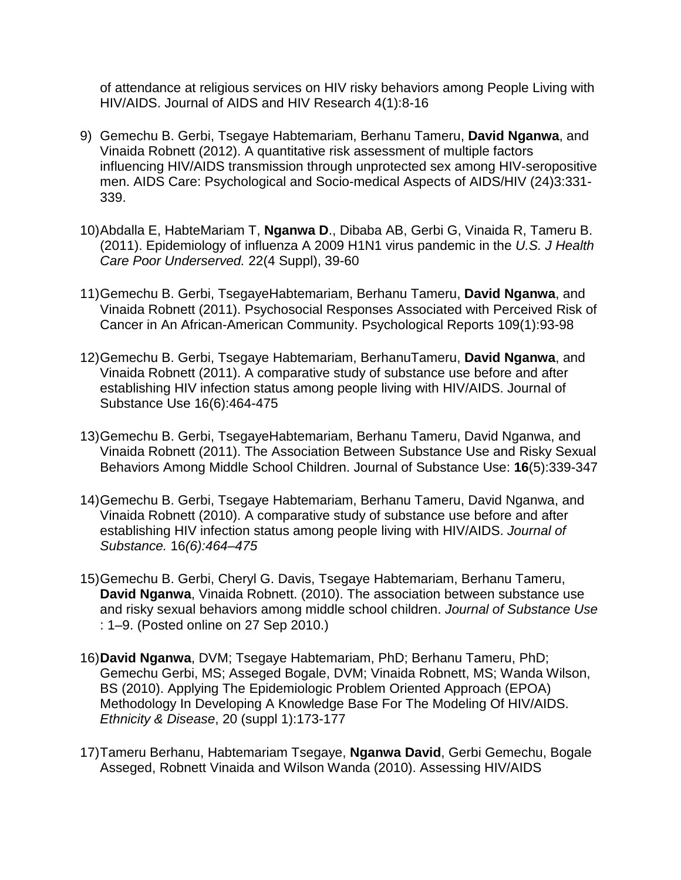of attendance at religious services on HIV risky behaviors among People Living with HIV/AIDS. Journal of AIDS and HIV Research 4(1):8-16

- 9) Gemechu B. Gerbi, Tsegaye Habtemariam, Berhanu Tameru, **David Nganwa**, and Vinaida Robnett (2012). A quantitative risk assessment of multiple factors influencing HIV/AIDS transmission through unprotected sex among HIV-seropositive men. AIDS Care: Psychological and Socio-medical Aspects of AIDS/HIV (24)3:331- 339.
- 10[\)Abdalla E,](http://www.ncbi.nlm.nih.gov/pubmed?term=Abdalla%20E%5BAuthor%5D&cauthor=true&cauthor_uid=22102305) [HabteMariam T,](http://www.ncbi.nlm.nih.gov/pubmed?term=HabteMariam%20T%5BAuthor%5D&cauthor=true&cauthor_uid=22102305) **[Nganwa D](http://www.ncbi.nlm.nih.gov/pubmed?term=Nganwa%20D%5BAuthor%5D&cauthor=true&cauthor_uid=22102305)**., [Dibaba AB,](http://www.ncbi.nlm.nih.gov/pubmed?term=Dibaba%20AB%5BAuthor%5D&cauthor=true&cauthor_uid=22102305) [Gerbi G,](http://www.ncbi.nlm.nih.gov/pubmed?term=Gerbi%20G%5BAuthor%5D&cauthor=true&cauthor_uid=22102305) [Vinaida R,](http://www.ncbi.nlm.nih.gov/pubmed?term=Vinaida%20R%5BAuthor%5D&cauthor=true&cauthor_uid=22102305) [Tameru B.](http://www.ncbi.nlm.nih.gov/pubmed?term=Tameru%20B%5BAuthor%5D&cauthor=true&cauthor_uid=22102305) (2011). Epidemiology of influenza A 2009 H1N1 virus pandemic in the *U.S. [J Health](http://www.ncbi.nlm.nih.gov/pubmed/22102305)  [Care Poor Underserved.](http://www.ncbi.nlm.nih.gov/pubmed/22102305)* 22(4 Suppl), 39-60
- 11)Gemechu B. Gerbi, TsegayeHabtemariam, Berhanu Tameru, **David Nganwa**, and Vinaida Robnett (2011). Psychosocial Responses Associated with Perceived Risk of Cancer in An African-American Community. Psychological Reports 109(1):93-98
- 12)Gemechu B. Gerbi, Tsegaye Habtemariam, BerhanuTameru, **David Nganwa**, and Vinaida Robnett (2011). A comparative study of substance use before and after establishing HIV infection status among people living with HIV/AIDS. Journal of Substance Use 16(6):464-475
- 13)Gemechu B. Gerbi, TsegayeHabtemariam, Berhanu Tameru, David Nganwa, and Vinaida Robnett (2011). The Association Between Substance Use and Risky Sexual Behaviors Among Middle School Children. Journal of Substance Use: **16**(5):339-347
- 14)Gemechu B. Gerbi, Tsegaye Habtemariam, Berhanu Tameru, David Nganwa, and Vinaida Robnett (2010). A comparative study of substance use before and after establishing HIV infection status among people living with HIV/AIDS. *Journal of Substance.* 16*(6):464–475*
- 15)Gemechu B. Gerbi, Cheryl G. Davis, Tsegaye Habtemariam, Berhanu Tameru, **David Nganwa**, Vinaida Robnett. (2010). The association between substance use and risky sexual behaviors among middle school children. *Journal of Substance Use*  : 1–9. (Posted online on 27 Sep 2010.)
- 16)**David Nganwa**, DVM; Tsegaye Habtemariam, PhD; Berhanu Tameru, PhD; Gemechu Gerbi, MS; Asseged Bogale, DVM; Vinaida Robnett, MS; Wanda Wilson, BS (2010). Applying The Epidemiologic Problem Oriented Approach (EPOA) Methodology In Developing A Knowledge Base For The Modeling Of HIV/AIDS. *Ethnicity & Disease*, 20 (suppl 1):173-177
- 17)Tameru Berhanu, Habtemariam Tsegaye, **Nganwa David**, Gerbi Gemechu, Bogale Asseged, Robnett Vinaida and Wilson Wanda (2010). Assessing HIV/AIDS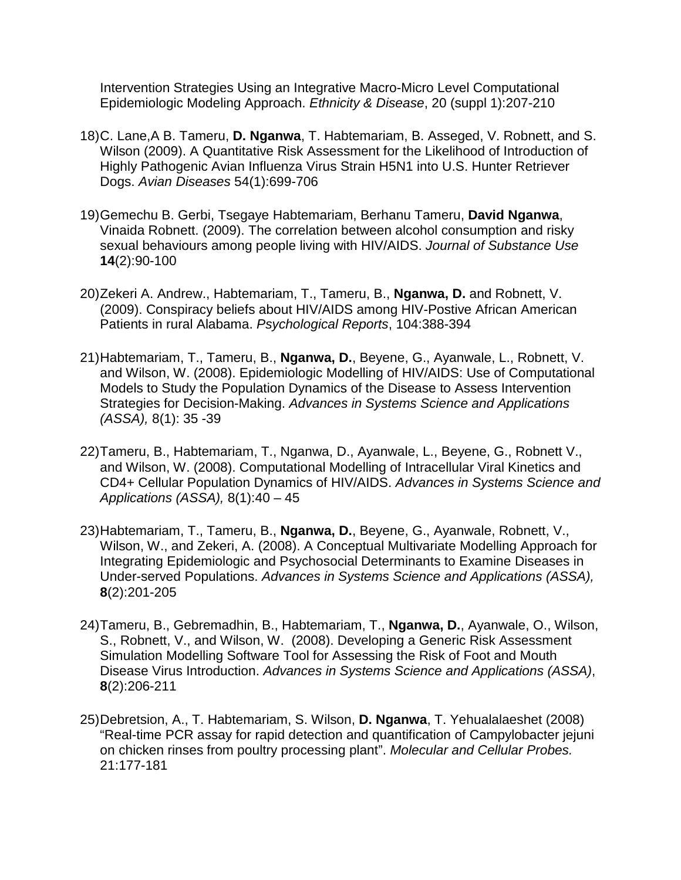Intervention Strategies Using an Integrative Macro-Micro Level Computational Epidemiologic Modeling Approach. *Ethnicity & Disease*, 20 (suppl 1):207-210

- 18)C. Lane,A B. Tameru, **D. Nganwa**, T. Habtemariam, B. Asseged, V. Robnett, and S. Wilson (2009). A Quantitative Risk Assessment for the Likelihood of Introduction of Highly Pathogenic Avian Influenza Virus Strain H5N1 into U.S. Hunter Retriever Dogs. *Avian Diseases* 54(1):699-706
- 19)Gemechu B. Gerbi, Tsegaye Habtemariam, Berhanu Tameru, **David Nganwa**, Vinaida Robnett. (2009). The correlation between alcohol consumption and risky sexual behaviours among people living with HIV/AIDS. *Journal of Substance Use* **[14](http://www.informaworld.com/smpp/title~content=t713655978~db=all~tab=issueslist~branches=14#v14)**[\(2\)](http://www.informaworld.com/smpp/title~content=g910577442~db=all):90-100
- 20)Zekeri A. Andrew., Habtemariam, T., Tameru, B., **Nganwa, D.** and Robnett, V. (2009). Conspiracy beliefs about HIV/AIDS among HIV-Postive African American Patients in rural Alabama. *Psychological Reports*, 104:388-394
- 21)Habtemariam, T., Tameru, B., **Nganwa, D.**, Beyene, G., Ayanwale, L., Robnett, V. and Wilson, W. (2008). Epidemiologic Modelling of HIV/AIDS: Use of Computational Models to Study the Population Dynamics of the Disease to Assess Intervention Strategies for Decision-Making. *Advances in Systems Science and Applications (ASSA),* 8(1): 35 -39
- 22)Tameru, B., Habtemariam, T., Nganwa, D., Ayanwale, L., Beyene, G., Robnett V., and Wilson, W. (2008). Computational Modelling of Intracellular Viral Kinetics and CD4+ Cellular Population Dynamics of HIV/AIDS. *Advances in Systems Science and Applications (ASSA),* 8(1):40 – 45
- 23)Habtemariam, T., Tameru, B., **Nganwa, D.**, Beyene, G., Ayanwale, Robnett, V., Wilson, W., and Zekeri, A. (2008). A Conceptual Multivariate Modelling Approach for Integrating Epidemiologic and Psychosocial Determinants to Examine Diseases in Under-served Populations. *Advances in Systems Science and Applications (ASSA),* **8**(2):201-205
- 24)Tameru, B., Gebremadhin, B., Habtemariam, T., **Nganwa, D.**, Ayanwale, O., Wilson, S., Robnett, V., and Wilson, W. (2008). Developing a Generic Risk Assessment Simulation Modelling Software Tool for Assessing the Risk of Foot and Mouth Disease Virus Introduction. *Advances in Systems Science and Applications (ASSA)*, **8**(2):206-211
- 25)Debretsion, A., T. Habtemariam, S. Wilson, **D. Nganwa**, T. Yehualalaeshet (2008) "Real-time PCR assay for rapid detection and quantification of Campylobacter jejuni on chicken rinses from poultry processing plant". *Molecular and Cellular Probes.* 21:177-181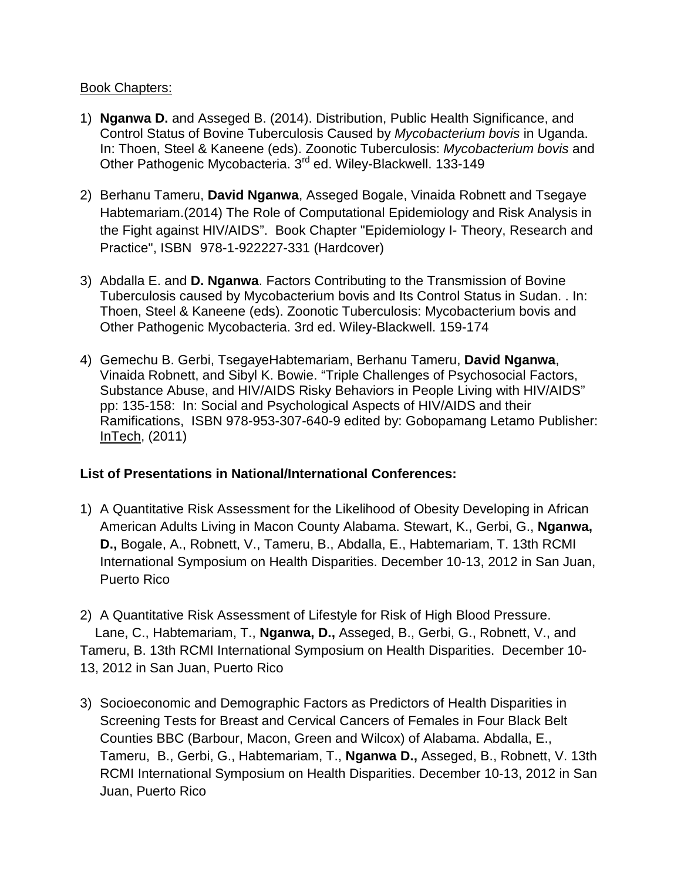#### Book Chapters:

- 1) **Nganwa D.** and Asseged B. (2014). Distribution, Public Health Significance, and Control Status of Bovine Tuberculosis Caused by *Mycobacterium bovis* in Uganda. In: Thoen, Steel & Kaneene (eds). Zoonotic Tuberculosis: *Mycobacterium bovis* and Other Pathogenic Mycobacteria. 3<sup>rd</sup> ed. Wiley-Blackwell. 133-149
- 2) Berhanu Tameru, **David Nganwa**, Asseged Bogale, Vinaida Robnett and Tsegaye Habtemariam.(2014) The Role of Computational Epidemiology and Risk Analysis in the Fight against HIV/AIDS". Book Chapter "Epidemiology I- Theory, Research and Practice", ISBN 978-1-922227-331 (Hardcover)
- 3) Abdalla E. and **D. Nganwa**. Factors Contributing to the Transmission of Bovine Tuberculosis caused by Mycobacterium bovis and Its Control Status in Sudan. . In: Thoen, Steel & Kaneene (eds). Zoonotic Tuberculosis: Mycobacterium bovis and Other Pathogenic Mycobacteria. 3rd ed. Wiley-Blackwell. 159-174
- 4) Gemechu B. Gerbi, TsegayeHabtemariam, Berhanu Tameru, **David Nganwa**, Vinaida Robnett, and Sibyl K. Bowie. "Triple Challenges of Psychosocial Factors, Substance Abuse, and HIV/AIDS Risky Behaviors in People Living with HIV/AIDS" pp: 135-158: In: Social and Psychological Aspects of HIV/AIDS and their Ramifications, ISBN 978-953-307-640-9 edited by: Gobopamang Letamo Publisher: [InTech,](http://www.intechweb.org/) (2011)

### **List of Presentations in National/International Conferences:**

- 1) A Quantitative Risk Assessment for the Likelihood of Obesity Developing in African American Adults Living in Macon County Alabama. Stewart, K., Gerbi, G., **Nganwa, D.,** Bogale, A., Robnett, V., Tameru, B., Abdalla, E., Habtemariam, T. 13th RCMI International Symposium on Health Disparities. December 10-13, 2012 in San Juan, Puerto Rico
- 2) A Quantitative Risk Assessment of Lifestyle for Risk of High Blood Pressure. Lane, C., Habtemariam, T., **Nganwa, D.,** Asseged, B., Gerbi, G., Robnett, V., and Tameru, B. 13th RCMI International Symposium on Health Disparities. December 10- 13, 2012 in San Juan, Puerto Rico
- 3) Socioeconomic and Demographic Factors as Predictors of Health Disparities in Screening Tests for Breast and Cervical Cancers of Females in Four Black Belt Counties BBC (Barbour, Macon, Green and Wilcox) of Alabama. Abdalla, E., Tameru, B., Gerbi, G., Habtemariam, T., **Nganwa D.,** Asseged, B., Robnett, V. 13th RCMI International Symposium on Health Disparities. December 10-13, 2012 in San Juan, Puerto Rico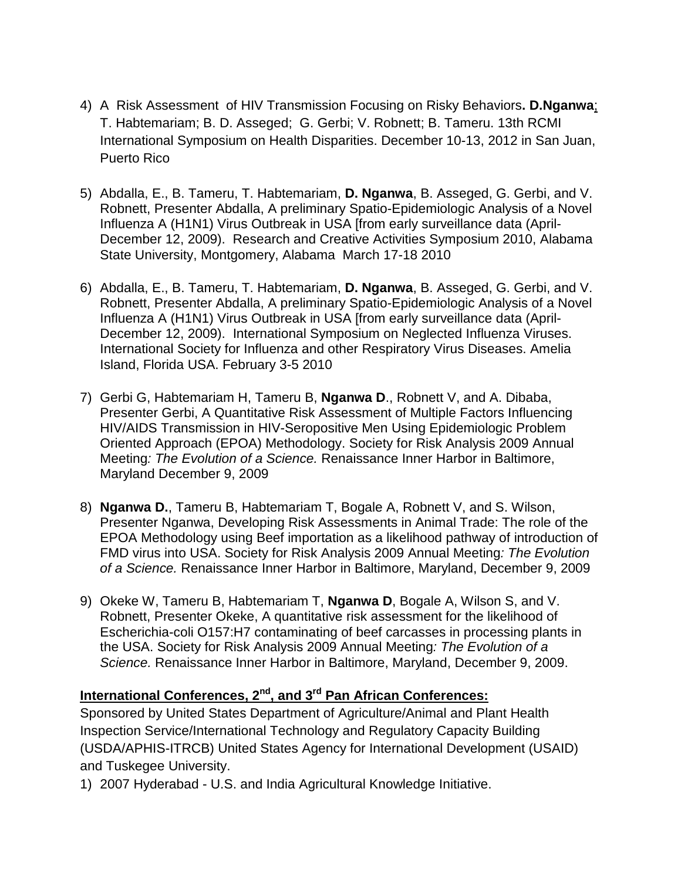- 4) A Risk Assessment of HIV Transmission Focusing on Risky Behaviors**. D.Nganwa**; T. Habtemariam; B. D. Asseged; G. Gerbi; V. Robnett; B. Tameru. 13th RCMI International Symposium on Health Disparities. December 10-13, 2012 in San Juan, Puerto Rico
- 5) Abdalla, E., B. Tameru, T. Habtemariam, **D. Nganwa**, B. Asseged, G. Gerbi, and V. Robnett, Presenter Abdalla, A preliminary Spatio-Epidemiologic Analysis of a Novel Influenza A (H1N1) Virus Outbreak in USA [from early surveillance data (April-December 12, 2009). Research and Creative Activities Symposium 2010, Alabama State University, Montgomery, Alabama March 17-18 2010
- 6) Abdalla, E., B. Tameru, T. Habtemariam, **D. Nganwa**, B. Asseged, G. Gerbi, and V. Robnett, Presenter Abdalla, A preliminary Spatio-Epidemiologic Analysis of a Novel Influenza A (H1N1) Virus Outbreak in USA [from early surveillance data (April-December 12, 2009). International Symposium on Neglected Influenza Viruses. International Society for Influenza and other Respiratory Virus Diseases. Amelia Island, Florida USA. February 3-5 2010
- 7) Gerbi G, Habtemariam H, Tameru B, **Nganwa D**., Robnett V, and A. Dibaba, Presenter Gerbi, A Quantitative Risk Assessment of Multiple Factors Influencing HIV/AIDS Transmission in HIV-Seropositive Men Using Epidemiologic Problem Oriented Approach (EPOA) Methodology. Society for Risk Analysis 2009 Annual Meeting*: The Evolution of a Science.* Renaissance Inner Harbor in Baltimore, Maryland December 9, 2009
- 8) **Nganwa D.**, Tameru B, Habtemariam T, Bogale A, Robnett V, and S. Wilson, Presenter Nganwa, Developing Risk Assessments in Animal Trade: The role of the EPOA Methodology using Beef importation as a likelihood pathway of introduction of FMD virus into USA. Society for Risk Analysis 2009 Annual Meeting*: The Evolution of a Science.* Renaissance Inner Harbor in Baltimore, Maryland, December 9, 2009
- 9) Okeke W, Tameru B, Habtemariam T, **Nganwa D**, Bogale A, Wilson S, and V. Robnett, Presenter Okeke, A quantitative risk assessment for the likelihood of Escherichia-coli O157:H7 contaminating of beef carcasses in processing plants in the USA. Society for Risk Analysis 2009 Annual Meeting*: The Evolution of a Science.* Renaissance Inner Harbor in Baltimore, Maryland, December 9, 2009.

# **International Conferences, 2<sup>nd</sup>, and 3<sup>rd</sup> Pan African Conferences:**

Sponsored by United States Department of Agriculture/Animal and Plant Health Inspection Service/International Technology and Regulatory Capacity Building (USDA/APHIS-ITRCB) United States Agency for International Development (USAID) and Tuskegee University.

1) 2007 Hyderabad - U.S. and India Agricultural Knowledge Initiative.